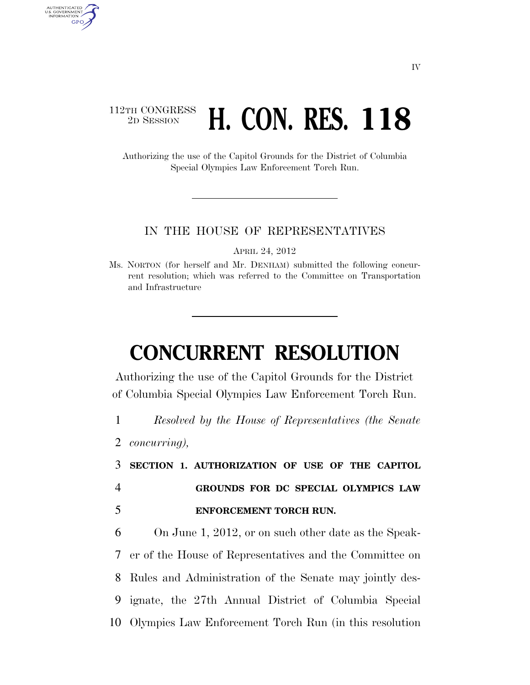### 112TH CONGRESS <sup>TH CONGRESS</sup> H. CON. RES. 118

Authorizing the use of the Capitol Grounds for the District of Columbia Special Olympics Law Enforcement Torch Run.

#### IN THE HOUSE OF REPRESENTATIVES

APRIL 24, 2012

Ms. NORTON (for herself and Mr. DENHAM) submitted the following concurrent resolution; which was referred to the Committee on Transportation and Infrastructure

# **CONCURRENT RESOLUTION**

Authorizing the use of the Capitol Grounds for the District of Columbia Special Olympics Law Enforcement Torch Run.

1 *Resolved by the House of Representatives (the Senate* 

2 *concurring),* 

AUTHENTICATED<br>U.S. GOVERNMENT<br>INFORMATION GPO

> 3 **SECTION 1. AUTHORIZATION OF USE OF THE CAPITOL**  4 **GROUNDS FOR DC SPECIAL OLYMPICS LAW**  5 **ENFORCEMENT TORCH RUN.**

 On June 1, 2012, or on such other date as the Speak- er of the House of Representatives and the Committee on Rules and Administration of the Senate may jointly des- ignate, the 27th Annual District of Columbia Special Olympics Law Enforcement Torch Run (in this resolution